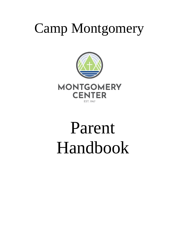## Camp Montgomery



# Parent Handbook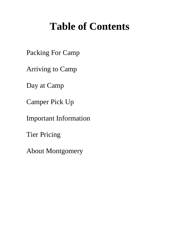## **Table of Contents**

Packing For Camp

Arriving to Camp

Day at Camp

Camper Pick Up

Important Information

Tier Pricing

About Montgomery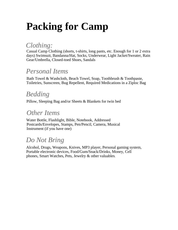## **Packing for Camp**

### *Clothing:*

Casual Camp Clothing (shorts, t-shirts, long pants, etc. Enough for 1 or 2 extra days) Swimsuit, Bandanna/Hat, Socks, Underwear, Light Jacket/Sweater, Rain Gear/Umbrella, Closed-toed Shoes, Sandals

### *Personal Items*

Bath Towel & Washcloth, Beach Towel, Soap, Toothbrush & Toothpaste, Toiletries, Sunscreen, Bug Repellent, Required Medications in a Ziploc Bag

### *Bedding*

Pillow, Sleeping Bag and/or Sheets & Blankets for twin bed

### *Other Items*

Water Bottle, Flashlight, Bible, Notebook, Addressed Postcards/Envelopes, Stamps, Pen/Pencil, Camera, Musical Instrument (if you have one)

### *Do Not Bring*

Alcohol, Drugs, Weapons, Knives, MP3 player, Personal gaming system, Portable electronic devices, Food/Gum/Snack/Drinks, Money, Cell phones, Smart Watches, Pets, Jewelry & other valuables.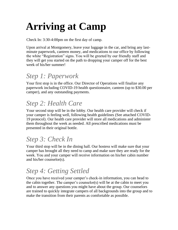## **Arriving at Camp**

Check In: 3:30-4:00pm on the first day of camp.

Upon arrival at Montgomery, leave your luggage in the car, and bring any lastminute paperwork, canteen money, and medications to our office by following the white "Registration" signs. You will be greeted by our friendly staff and they will get you started on the path to dropping your camper off for the best week of his/her summer!

## *Step 1: Paperwork*

Your first stop is in the office. Our Director of Operations will finalize any paperwork including COVID-19 health questionnaire, canteen (up to \$30.00 per camper), and any outstanding payments.

## *Step 2: Health Care*

Your second stop will be in the lobby. Our health care provider will check if your camper is feeling well, following health guidelines (See attached COVID-19 protocol). Our health care provider will store all medications and administer them throughout the week as needed. All prescribed medications must be presented in their original bottle.

## *Step 3: Check In*

Your third stop will be in the dining hall. Our hostess will make sure that your camper has brought all they need to camp and make sure they are ready for the week. You and your camper will receive information on his/her cabin number and his/her counselor(s).

## *Step 4: Getting Settled*

Once you have received your camper's check-in information, you can head to the cabin together. The camper's counselor(s) will be at the cabin to meet you and to answer any questions you might have about the group. Our counselors are trained to quickly integrate campers of all backgrounds into the group and to make the transition from their parents as comfortable as possible.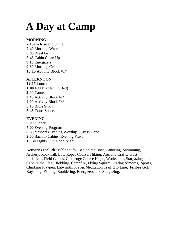## **A Day at Camp**

#### **MORNING**

**7:15am** Rise and Shine **7:40** Morning Watch **8:00** Breakfast **8:45** Cabin Clean Up **9:15** Energizers **9:30** Morning Celebration **10:15** Activity Block #1\*

#### **AFTERNOON**

**12:15** Lunch **1:00** F.O.B. (Flat On Bed) **2:00** Canteen **2:45** Activity Block #2\* **4:00** Activity Block #3\* **5:15** Bible Study **5:45** Court Sports

#### **EVENING**

**6:00** Dinner **7:00** Evening Program **8:30** Vespers (Evening Worship)/Day is Done **9:00** Back to Cabins, Evening Prayer **10:30** Lights Out! Good Night!

**Activities Include**: Bible Study, Behind the Boat, Canoeing, Swimming, Archery, Rockwall, Low Ropes Course, Hiking, Arts and Crafts, Trust Initiatives, Field Games, Challenge Course Highs, Workshops, Stargazing, and Capture the Flag, Blobbing, Campfire, Flying Squirrel, Eating S'mores, Sports, Climbing Playpen, Labyrinth, Prayer/Meditation Trail, Zip Line, Frisbee Golf, Kayaking, Fishing, Bouldering, Energizers, and Stargazing.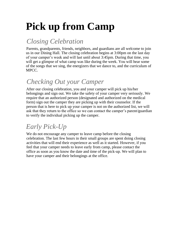## **Pick up from Camp**

## *Closing Celebration*

Parents, grandparents, friends, neighbors, and guardians are all welcome to join us in our Dining Hall. The closing celebration begins at 3:00pm on the last day of your camper's week and will last until about 3:45pm. During that time, you will get a glimpse of what camp was like during the week. You will hear some of the songs that we sing, the energizers that we dance to, and the curriculum of MPCC.

## *Checking Out your Camper*

After our closing celebration, you and your camper will pick up his/her belongings and sign out. We take the safety of your camper very seriously. We require that an authorized person (designated and authorized on the medical form) sign out the camper they are picking up with their counselor. If the person that is here to pick up your camper is not on the authorized list, we will ask that they return to the office so we can contact the camper's parent/guardian to verify the individual picking up the camper.

## *Early Pick-Up*

We do not encourage any camper to leave camp before the closing celebration. The last few hours in their small groups are spent doing closing activities that will end their experience as well as it started. However, if you feel that your camper needs to leave early from camp, please contact the office as soon as you know the date and time of the pick-up. We will plan to have your camper and their belongings at the office.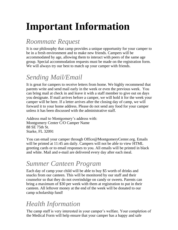## **Important Information**

## *Roommate Request*

It is our philosophy that camp provides a unique opportunity for your camper to be in a fresh environment and to make new friends. Campers will be accommodated by age, allowing them to interact with peers of the same age group. Special accommodation requests must be made on the registration form. We will always try our best to match up your camper with friends.

### *Sending Mail/Email*

It is great for campers to receive letters from home. We highly recommend that parents write and send mail early in the week or even the previous week. You can bring mail at check in and leave it with a staff member to give out on days you designate. If mail arrives before a camper, we will hold it for the week your camper will be here. If a letter arrives after the closing day of camp, we will forward it to your home address. Please do not send any food for your camper unless it has been discussed with the administrative staff.

Address mail to Montgomery's address with: Montgomery Center C/O Camper Name 88 SE 75th St. Starke, FL 32091

You can email your camper through Office@MontgomeryCenter.org. Emails will be printed at 11:45 am daily. Campers will not be able to view HTML greeting cards or to email responses to you. All emails will be printed in black and white. Mail and e-mail are delivered every day after each meal.

## *Summer Canteen Program*

Each day of camp your child will be able to buy \$5 worth of drinks and snacks from our canteen. This will be monitored by our staff and their counselor so that they do not overindulge on candy or sweets. Parents can bring a maximum of \$30 per week with them at registration to put in their canteen. All leftover money at the end of the week will be donated to our camp scholarship fund!

### *Health Information*

The camp staff is very interested in your camper's welfare. Your completion of the Medical Form will help ensure that your camper has a happy and safe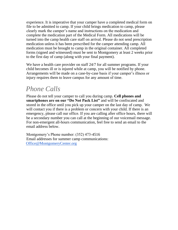experience. It is imperative that your camper have a completed medical form on file to be admitted to camp. If your child brings medication to camp, please clearly mark the camper's name and instructions on the medication and complete the medication part of the Medical Form. All medications will be turned into the camp health care staff on arrival. Please do not send prescription medication unless it has been prescribed for the camper attending camp. All medication must be brought to camp in the original container. All completed forms (signed and witnessed) must be sent to Montgomery at least 2 weeks prior to the first day of camp (along with your final payment).

We have a health care provider on staff 24/7 for all summer programs. If your child becomes ill or is injured while at camp, you will be notified by phone. Arrangements will be made on a case-by-case basis if your camper's illness or injury requires them to leave campus for any amount of time.

### *Phone Calls*

Please do not tell your camper to call you during camp. **Cell phones and smartphones are on our "Do Not Pack List"** and will be confiscated and stored in the office until you pick up your camper on the last day of camp. We will contact you if there is a problem or concern with your child. If there is an emergency, please call our office. If you are calling after office hours, there will be a secondary number you can call at the beginning of our voicemail message. For non-emergent all-hours communication, feel free to send an email to the email address below.

Montgomery's Phone number: (352) 473-4516 Email addresses for summer camp communications: [Office@MontgomeryCenter.org](mailto:Office@MontgomeryCenter.org)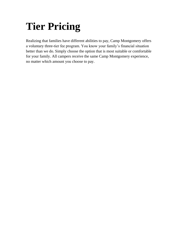## **Tier Pricing**

Realizing that families have different abilities to pay, Camp Montgomery offers a voluntary three-tier fee program. You know your family's financial situation better than we do. Simply choose the option that is most suitable or comfortable for your family. All campers receive the same Camp Montgomery experience, no matter which amount you choose to pay.